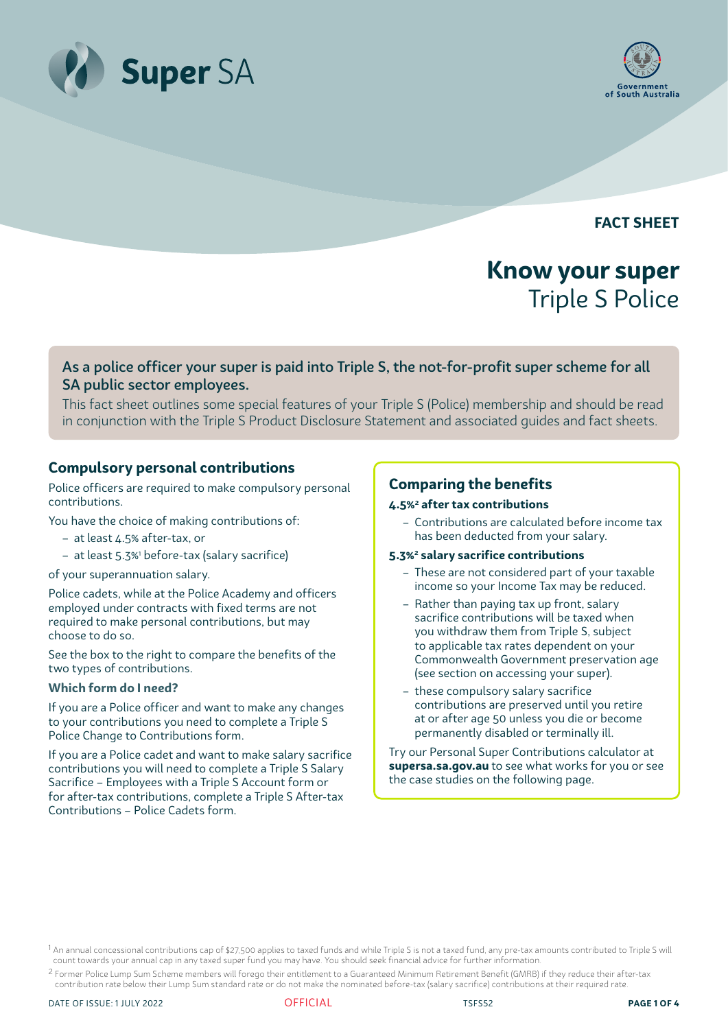



**FACT SHEET**

# **Know your super** Triple S Police

## As a police officer your super is paid into Triple S, the not-for-profit super scheme for all SA public sector employees.

This fact sheet outlines some special features of your Triple S (Police) membership and should be read in conjunction with the Triple S Product Disclosure Statement and associated guides and fact sheets.

## **Compulsory personal contributions**

Police officers are required to make compulsory personal contributions.

You have the choice of making contributions of:

- at least 4.5% after-tax, or
- at least 5.3%1 before-tax (salary sacrifice)

#### of your superannuation salary.

Police cadets, while at the Police Academy and officers employed under contracts with fixed terms are not required to make personal contributions, but may choose to do so.

See the box to the right to compare the benefits of the two types of contributions.

#### **Which form do I need?**

If you are a Police officer and want to make any changes to your contributions you need to complete a Triple S Police Change to Contributions form.

If you are a Police cadet and want to make salary sacrifice contributions you will need to complete a Triple S Salary Sacrifice – Employees with a Triple S Account form or for after-tax contributions, complete a Triple S After-tax Contributions – Police Cadets form.

## **Comparing the benefits**

#### **4.5%2 after tax contributions**

- Contributions are calculated before income tax has been deducted from your salary.
- **5.3%2 salary sacrifice contributions**
	- These are not considered part of your taxable income so your Income Tax may be reduced.
	- Rather than paying tax up front, salary sacrifice contributions will be taxed when you withdraw them from Triple S, subject to applicable tax rates dependent on your Commonwealth Government preservation age (see section on accessing your super).
	- these compulsory salary sacrifice contributions are preserved until you retire at or after age 50 unless you die or become permanently disabled or terminally ill.

Try our Personal Super Contributions calculator at **supersa.sa.gov.au** to see what works for you or see the case studies on the following page.

<sup>1</sup> An annual concessional contributions cap of \$27,500 applies to taxed funds and while Triple S is not a taxed fund, any pre-tax amounts contributed to Triple S will count towards your annual cap in any taxed super fund you may have. You should seek financial advice for further information.

<sup>2</sup> Former Police Lump Sum Scheme members will forego their entitlement to a Guaranteed Minimum Retirement Benefit (GMRB) if they reduce their after-tax contribution rate below their Lump Sum standard rate or do not make the nominated before-tax (salary sacrifice) contributions at their required rate.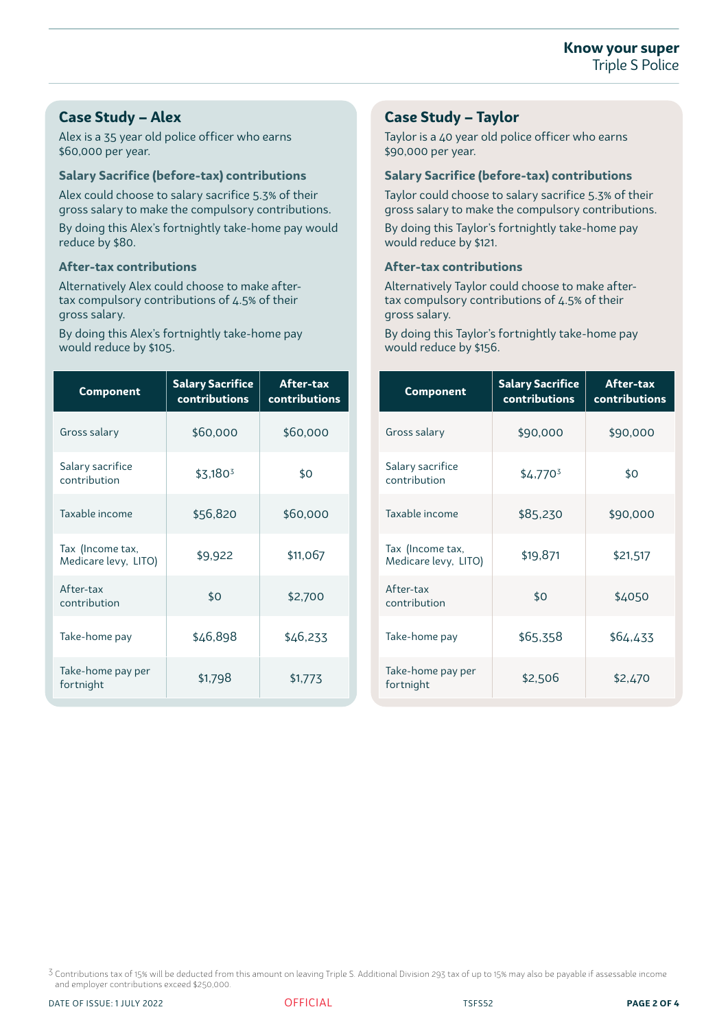## **Case Study – Alex**

Alex is a 35 year old police officer who earns \$60,000 per year.

#### **Salary Sacrifice (before-tax) contributions**

Alex could choose to salary sacrifice 5.3% of their gross salary to make the compulsory contributions.

By doing this Alex's fortnightly take-home pay would reduce by \$80.

#### **After-tax contributions**

Alternatively Alex could choose to make aftertax compulsory contributions of 4.5% of their gross salary.

By doing this Alex's fortnightly take-home pay would reduce by \$105.

| <b>Component</b>                         | <b>Salary Sacrifice</b><br>contributions | After-tax<br>contributions |
|------------------------------------------|------------------------------------------|----------------------------|
| Gross salary                             | \$60,000                                 | \$60,000                   |
| Salary sacrifice<br>contribution         | $$3,180^3$                               | \$0                        |
| Taxable income                           | \$56,820                                 | \$60,000                   |
| Tax (Income tax,<br>Medicare levy, LITO) | \$9,922                                  | \$11,067                   |
| After-tax<br>contribution                | \$0                                      | \$2,700                    |
| Take-home pay                            | \$46,898                                 | \$46,233                   |
| Take-home pay per<br>fortnight           | \$1,798                                  | \$1,773                    |

## **Case Study – Taylor**

Taylor is a 40 year old police officer who earns \$90,000 per year.

### **Salary Sacrifice (before-tax) contributions**

Taylor could choose to salary sacrifice 5.3% of their gross salary to make the compulsory contributions.

By doing this Taylor's fortnightly take-home pay would reduce by \$121.

#### **After-tax contributions**

Alternatively Taylor could choose to make aftertax compulsory contributions of 4.5% of their gross salary.

By doing this Taylor's fortnightly take-home pay would reduce by \$156.

| <b>Component</b>                         | <b>Salary Sacrifice</b><br>contributions | After-tax<br>contributions |
|------------------------------------------|------------------------------------------|----------------------------|
| Gross salary                             | \$90,000                                 | \$90,000                   |
| Salary sacrifice<br>contribution         | \$4.770 <sup>3</sup>                     | \$0                        |
| Taxable income                           | \$85,230                                 | \$90,000                   |
| Tax (Income tax,<br>Medicare levy, LITO) | \$19,871                                 | \$21,517                   |
| After-tax<br>contribution                | \$0                                      | \$4050                     |
| Take-home pay                            | \$65,358                                 | \$64,433                   |
| Take-home pay per<br>fortnight           | \$2,506                                  | \$2,470                    |

3 Contributions tax of 15% will be deducted from this amount on leaving Triple S. Additional Division 293 tax of up to 15% may also be payable if assessable income and employer contributions exceed \$250,000.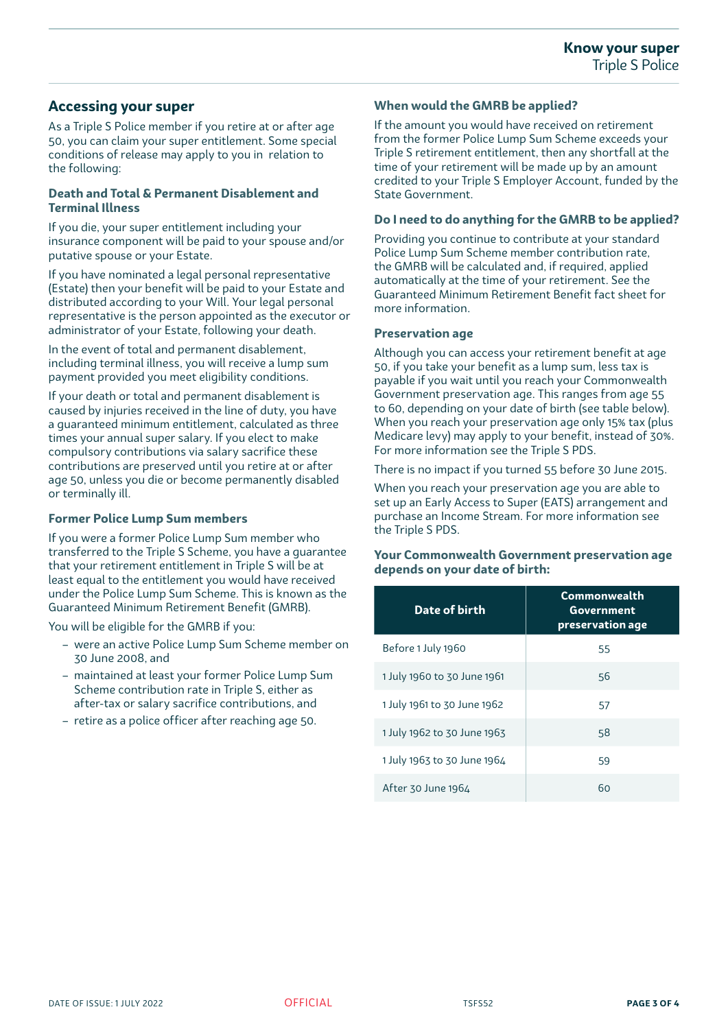## **Accessing your super**

As a Triple S Police member if you retire at or after age 50, you can claim your super entitlement. Some special conditions of release may apply to you in relation to the following:

#### **Death and Total & Permanent Disablement and Terminal Illness**

If you die, your super entitlement including your insurance component will be paid to your spouse and/or putative spouse or your Estate.

If you have nominated a legal personal representative (Estate) then your benefit will be paid to your Estate and distributed according to your Will. Your legal personal representative is the person appointed as the executor or administrator of your Estate, following your death.

In the event of total and permanent disablement, including terminal illness, you will receive a lump sum payment provided you meet eligibility conditions.

If your death or total and permanent disablement is caused by injuries received in the line of duty, you have a guaranteed minimum entitlement, calculated as three times your annual super salary. If you elect to make compulsory contributions via salary sacrifice these contributions are preserved until you retire at or after age 50, unless you die or become permanently disabled or terminally ill.

#### **Former Police Lump Sum members**

If you were a former Police Lump Sum member who transferred to the Triple S Scheme, you have a guarantee that your retirement entitlement in Triple S will be at least equal to the entitlement you would have received under the Police Lump Sum Scheme. This is known as the Guaranteed Minimum Retirement Benefit (GMRB).

You will be eligible for the GMRB if you:

- were an active Police Lump Sum Scheme member on 30 June 2008, and
- maintained at least your former Police Lump Sum Scheme contribution rate in Triple S, either as after-tax or salary sacrifice contributions, and
- retire as a police officer after reaching age 50.

#### **When would the GMRB be applied?**

If the amount you would have received on retirement from the former Police Lump Sum Scheme exceeds your Triple S retirement entitlement, then any shortfall at the time of your retirement will be made up by an amount credited to your Triple S Employer Account, funded by the State Government.

#### **Do I need to do anything for the GMRB to be applied?**

Providing you continue to contribute at your standard Police Lump Sum Scheme member contribution rate, the GMRB will be calculated and, if required, applied automatically at the time of your retirement. See the Guaranteed Minimum Retirement Benefit fact sheet for more information.

#### **Preservation age**

Although you can access your retirement benefit at age 50, if you take your benefit as a lump sum, less tax is payable if you wait until you reach your Commonwealth Government preservation age. This ranges from age 55 to 60, depending on your date of birth (see table below). When you reach your preservation age only 15% tax (plus Medicare levy) may apply to your benefit, instead of 30%. For more information see the Triple S PDS.

There is no impact if you turned 55 before 30 June 2015.

When you reach your preservation age you are able to set up an Early Access to Super (EATS) arrangement and purchase an Income Stream. For more information see the Triple S PDS.

**Your Commonwealth Government preservation age depends on your date of birth:**

| Date of birth               | Commonwealth<br>Government<br>preservation age |
|-----------------------------|------------------------------------------------|
| Before 1 July 1960          | 55                                             |
| 1 July 1960 to 30 June 1961 | 56                                             |
| 1 July 1961 to 30 June 1962 | 57                                             |
| 1 July 1962 to 30 June 1963 | 58                                             |
| 1 July 1963 to 30 June 1964 | 59                                             |
| After 30 June 1964          | 60                                             |